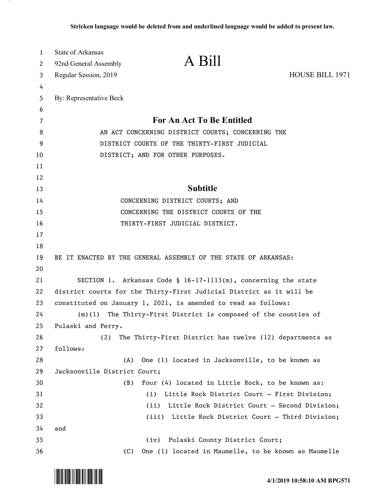| 1  | <b>State of Arkansas</b>                                             |                                                                   |                        |
|----|----------------------------------------------------------------------|-------------------------------------------------------------------|------------------------|
| 2  | 92nd General Assembly                                                | A Bill                                                            |                        |
| 3  | Regular Session, 2019                                                |                                                                   | <b>HOUSE BILL 1971</b> |
| 4  |                                                                      |                                                                   |                        |
| 5  | By: Representative Beck                                              |                                                                   |                        |
| 6  |                                                                      |                                                                   |                        |
| 7  | For An Act To Be Entitled                                            |                                                                   |                        |
| 8  |                                                                      | AN ACT CONCERNING DISTRICT COURTS; CONCERNING THE                 |                        |
| 9  |                                                                      | DISTRICT COURTS OF THE THIRTY-FIRST JUDICIAL                      |                        |
| 10 | DISTRICT; AND FOR OTHER PURPOSES.                                    |                                                                   |                        |
| 11 |                                                                      |                                                                   |                        |
| 12 |                                                                      |                                                                   |                        |
| 13 | <b>Subtitle</b>                                                      |                                                                   |                        |
| 14 |                                                                      | CONCERNING DISTRICT COURTS; AND                                   |                        |
| 15 | CONCERNING THE DISTRICT COURTS OF THE                                |                                                                   |                        |
| 16 | THIRTY-FIRST JUDICIAL DISTRICT.                                      |                                                                   |                        |
| 17 |                                                                      |                                                                   |                        |
| 18 |                                                                      |                                                                   |                        |
| 19 | BE IT ENACTED BY THE GENERAL ASSEMBLY OF THE STATE OF ARKANSAS:      |                                                                   |                        |
| 20 |                                                                      |                                                                   |                        |
| 21 |                                                                      | SECTION 1. Arkansas Code § $16-17-1113(m)$ , concerning the state |                        |
| 22 | district courts for the Thirty-First Judicial District as it will be |                                                                   |                        |
| 23 | constituted on January 1, 2021, is amended to read as follows:       |                                                                   |                        |
| 24 | (m)(1)                                                               | The Thirty-First District is composed of the counties of          |                        |
| 25 | Pulaski and Perry.                                                   |                                                                   |                        |
| 26 | (2)                                                                  | The Thirty-First District has twelve (12) departments as          |                        |
| 27 | follows:                                                             |                                                                   |                        |
| 28 | (A)                                                                  | One (1) located in Jacksonville, to be known as                   |                        |
| 29 | Jacksonville District Court;                                         |                                                                   |                        |
| 30 | (B)                                                                  | Four (4) located in Little Rock, to be known as:                  |                        |
| 31 |                                                                      | Little Rock District Court - First Division;<br>(i)               |                        |
| 32 |                                                                      | (ii) Little Rock District Court - Second Division;                |                        |
| 33 |                                                                      | (iii) Little Rock District Court - Third Division;                |                        |
| 34 | and                                                                  |                                                                   |                        |
| 35 |                                                                      | (iv) Pulaski County District Court;                               |                        |
| 36 | (C)                                                                  | One (1) located in Maumelle, to be known as Maumelle              |                        |

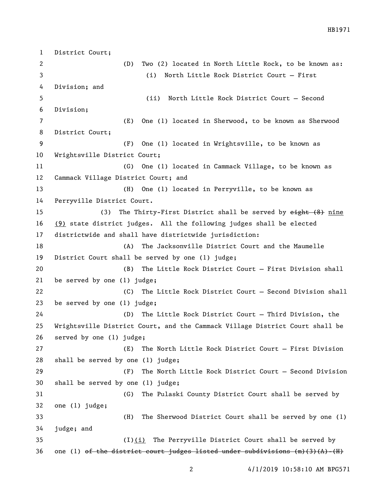District Court; (D) Two (2) located in North Little Rock, to be known as: (i) North Little Rock District Court — First Division; and (ii) North Little Rock District Court — Second Division; (E) One (1) located in Sherwood, to be known as Sherwood District Court; (F) One (1) located in Wrightsville, to be known as Wrightsville District Court; (G) One (1) located in Cammack Village, to be known as Cammack Village District Court; and (H) One (1) located in Perryville, to be known as Perryville District Court. 15 (3) The Thirty-First District shall be served by eight (8) nine (9) state district judges. All the following judges shall be elected districtwide and shall have districtwide jurisdiction: (A) The Jacksonville District Court and the Maumelle District Court shall be served by one (1) judge; (B) The Little Rock District Court — First Division shall be served by one (1) judge; (C) The Little Rock District Court — Second Division shall be served by one (1) judge; (D) The Little Rock District Court — Third Division, the Wrightsville District Court, and the Cammack Village District Court shall be served by one (1) judge; (E) The North Little Rock District Court — First Division shall be served by one (1) judge; (F) The North Little Rock District Court — Second Division shall be served by one (1) judge; (G) The Pulaski County District Court shall be served by one (1) judge; (H) The Sherwood District Court shall be served by one (1) judge; and (I)(i) The Perryville District Court shall be served by 36 one (1) of the district court judges listed under subdivisions  $(m)(3)(A) - (H)$